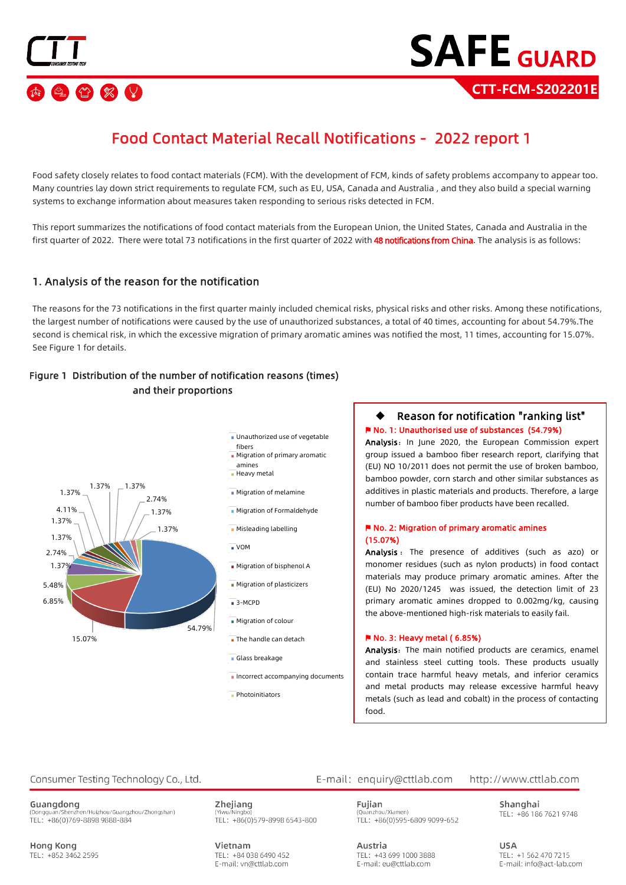

## Food Contact Material Recall Notifications - 2022 report 1

Food safety closely relates to food contact materials (FCM). With the development of FCM, kinds of safety problems accompany to appear too. Many countries lay down strict requirements to regulate FCM, such as EU, USA, Canada and Australia , and they also build a special warning systems to exchange information about measures taken responding to serious risks detected in FCM.

This report summarizes the notifications of food contact materials from the European Union, the United States, Canada and Australia in the first quarter of 2022. There were total 73 notifications in the first quarter of 2022 with 48 notifications from China. The analysis is as follows:

#### 1. Analysis of the reason for the notification

The reasons for the 73 notifications in the first quarter mainly included chemical risks, physical risks and other risks. Among these notifications, the largest number of notifications were caused by the use of unauthorized substances, a total of 40 times, accounting for about 54.79%.The second is chemical risk, in which the excessive migration of primary aromatic amines was notified the most, 11 times, accounting for 15.07%. See Figure 1 for details.

#### Figure 1 Distribution of the number of notification reasons (times) and their proportions



- **Unauthorized use of vegetable** fibers
- **Migration of primary aromatic** amines
- **Heavy metal**
- **Migration of melamine**
- Migration of Formaldehyde
- Misleading labelling

VOM

- **Migration of bisphenol A**
- **Migration of plasticizers**
- $\overline{\phantom{a}}$ 3-MCPD
- Migration of colour
- The handle can detach
- Glass breakage
- $\blacksquare$  Incorrect accompanying documents
- **Photoinitiators**

#### Reason for notification "ranking list" ⚑ No. 1: Unauthorised use of substances (54.79%)

Analysis: In June 2020, the European Commission expert group issued a bamboo fiber research report, clarifying that (EU) NO 10/2011 does not permit the use of broken bamboo, bamboo powder, corn starch and other similar substances as additives in plastic materials and products. Therefore, a large number of bamboo fiber products have been recalled.

#### ⚑ No. 2: Migration of primary aromatic amines (15.07%)

Analysis : The presence of additives (such as azo) or monomer residues (such as nylon products) in food contact materials may produce primary aromatic amines. After the (EU) No 2020/1245 was issued, the detection limit of 23 primary aromatic amines dropped to 0.002mg/kg, causing the above-mentioned high-risk materials to easily fail.

#### ⚑ No. 3: Heavy metal ( 6.85%)

Analysis: The main notified products are ceramics, enamel and stainless steel cutting tools. These products usually contain trace harmful heavy metals, and inferior ceramics and metal products may release excessive harmful heavy metals (such as lead and cobalt) in the process of contacting food.

#### Consumer Testing Technology Co., Ltd.

Guangdong - S<br>nzhen/Huizhou/Guangzhou/Zhongshan) (Dongguan/9 TEL: +86(0)769-8898 9888-884

**Hong Kong** TEL: +852 3462 2595 Zhejiang TEL: +86(0)579-8998 6543-800

Vietnam TEL: +84 038 6490 452 E-mail: vn@cttlab.com

E-mail: enquiry@cttlab.com

TEL: +43 699 1000 3888

E-mail: eu@cttlab.com

Austria

#### http://www.cttlab.com

Fuijan (Quanzhou/Xiamen) TEL: +86(0)595-6809 9099-652 Shanghai TEL: +86 186 7621 9748

**LISA** TEL: +1 562 470 7215 E-mail: info@act-lab.com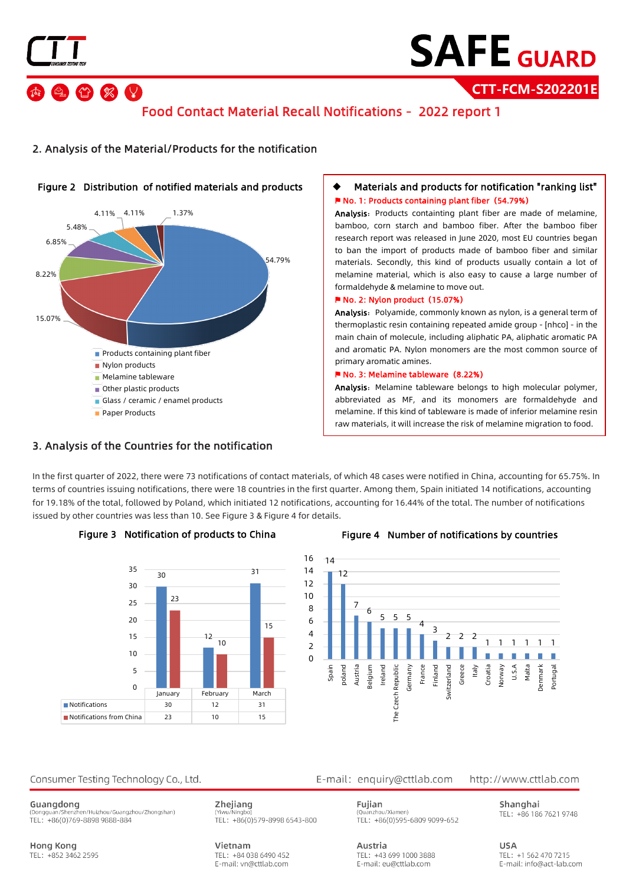

 $\bigcirc$   $\otimes$   $\vee$ 

# **SAFE GUARD**

**CTT-FCM-S202201E**

## Food Contact Material Recall Notifications - 2022 report 1



#### 2. Analysis of the Material/Products for the notification

#### Materials and products for notification "ranking list" ⚑ No. 1: Products containing plant fiber**(**54.79%**)**

Analysis: Products containting plant fiber are made of melamine, bamboo, corn starch and bamboo fiber. After the bamboo fiber research report was released in June 2020, most EU countries began to ban the import of products made of bamboo fiber and similar materials. Secondly, this kind of products usually contain a lot of melamine material, which is also easy to cause a large number of formaldehyde & melamine to move out.

#### ⚑ No. 2: Nylon product**(**15.07%**)**

Analysis: Polyamide, commonly known as nylon, is a general term of thermoplastic resin containing repeated amide group - [nhco] - in the main chain of molecule, including aliphatic PA, aliphatic aromatic PA and aromatic PA. Nylon monomers are the most common source of primary aromatic amines.

#### ⚑ No. 3: Melamine tableware**(**8.22%**)**

Analysis: Melamine tableware belongs to high molecular polymer, abbreviated as MF, and its monomers are formaldehyde and melamine. If this kind of tableware is made of inferior melamine resin raw materials, it will increase the risk of melamine migration to food.

#### 3. Analysis of the Countries for the notification

In the first quarter of 2022, there were 73 notifications of contact materials, of which 48 cases were notified in China, accounting for 65.75%. In terms of countries issuing notifications, there were 18 countries in the first quarter. Among them, Spain initiated 14 notifications, accounting for 19.18% of the total, followed by Poland, which initiated 12 notifications, accounting for 16.44% of the total. The number of notifications issued by other countries was less than 10. See Figure 3 & Figure 4 for details.





#### Figure 3 Notification of products to China Figure 4 Number of notifications by countries



#### Consumer Testing Technology Co., Ltd.

Guangdong ...<br>enzhen/Huizhou/Guangzhou/Zhongshan) (Dongguan/9 TEL: +86(0)769-8898 9888-884

**Hong Kong** TEL: +852 3462 2595 Zhejiang TEL: +86(0)579-8998 6543-800

Vietnam TEL: +84 038 6490 452 E-mail: vn@cttlab.com E-mail: enquiry@cttlab.com

Austria

http://www.cttlab.com

Fuiian (Quanzhou/Xiamen) TEL: +86(0)595-6809 9099-652

TEL: +43 699 1000 3888

E-mail: eu@cttlab.com

Shanghai TEL: +86 186 7621 9748

> **LISA** TEL: +1 562 470 7215 E-mail: info@act-lab.com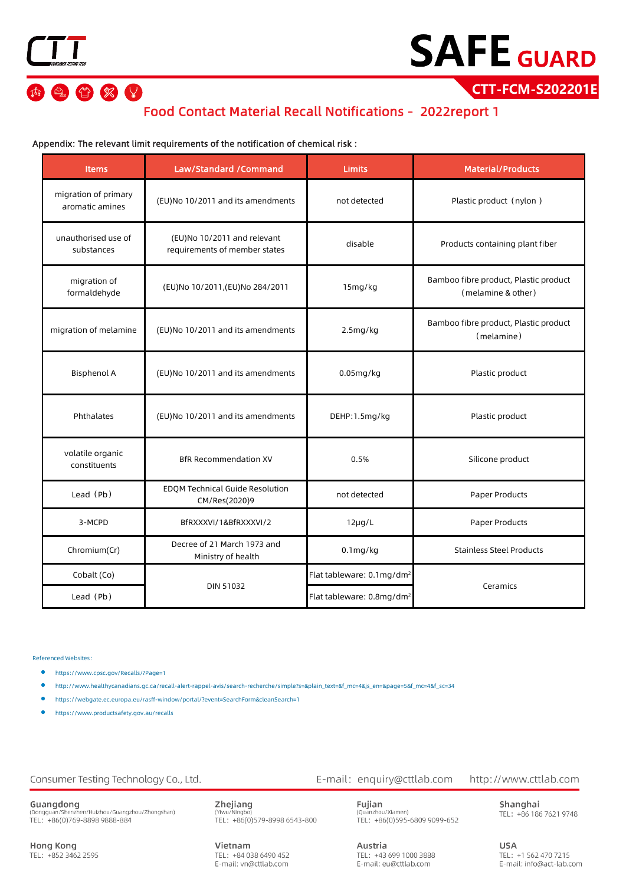20 % V

# **SAFE GUARD**

**CTT-FCM-S202201E**

### Food Contact Material Recall Notifications - 2022report 1

#### Appendix: The relevant limit requirements of the notification of chemical risk :

| <b>Items</b>                            | Law/Standard /Command                                        | <b>Limits</b>                         | <b>Material/Products</b>                                    |
|-----------------------------------------|--------------------------------------------------------------|---------------------------------------|-------------------------------------------------------------|
| migration of primary<br>aromatic amines | (EU)No 10/2011 and its amendments                            | not detected                          | Plastic product (nylon)                                     |
| unauthorised use of<br>substances       | (EU)No 10/2011 and relevant<br>requirements of member states | disable                               | Products containing plant fiber                             |
| migration of<br>formaldehyde            | (EU)No 10/2011, (EU)No 284/2011                              | 15mg/kg                               | Bamboo fibre product, Plastic product<br>(melamine & other) |
| migration of melamine                   | (EU)No 10/2011 and its amendments                            | 2.5mg/kg                              | Bamboo fibre product, Plastic product<br>(melamine)         |
| <b>Bisphenol A</b>                      | (EU)No 10/2011 and its amendments                            | $0.05$ mg/kg                          | Plastic product                                             |
| Phthalates                              | (EU)No 10/2011 and its amendments                            | DEHP:1.5mg/kg                         | Plastic product                                             |
| volatile organic<br>constituents        | <b>BfR Recommendation XV</b>                                 | 0.5%                                  | Silicone product                                            |
| Lead (Pb)                               | <b>EDOM Technical Guide Resolution</b><br>CM/Res(2020)9      | not detected                          | Paper Products                                              |
| 3-MCPD                                  | BfRXXXVI/1&BfRXXXVI/2                                        | $12\mu g/L$                           | Paper Products                                              |
| Chromium(Cr)                            | Decree of 21 March 1973 and<br>Ministry of health            | $0.1$ mg/kg                           | <b>Stainless Steel Products</b>                             |
| Cobalt (Co)                             | <b>DIN 51032</b>                                             | Flat tableware: 0.1mg/dm <sup>2</sup> | Ceramics                                                    |
| Lead (Pb)                               |                                                              | Flat tableware: 0.8mg/dm <sup>2</sup> |                                                             |

Referenced Websites:

- https:/[/www.cpsc.gov/Recalls/?Page=1](http://www.cpsc.gov/Recalls/?Page=1)
- [http://www.healthycanadians.gc.ca/recall-alert-rappel-avis/search-recherche/simple?s=&plain\\_text=&f\\_mc=4&js\\_en=&page=5&f\\_mc=4&f\\_sc=34](http://www.healthycanadians.gc.ca/recall-alert-rappel-avis/search-recherche/simple?s&plain_text&f_mc=4&js_en&page=5&f_mc=4&f_sc=34)
- <https://webgate.ec.europa.eu/rasff-window/portal/?event=SearchForm&cleanSearch=1>
- https:/[/www.productsafety.gov.au/recalls](http://www.productsafety.gov.au/recalls)

#### Consumer Testing Technology Co., Ltd.

Guangdong<br>(Dongguan/Shenzhen/Huizhou/Guangzhou/Zhongshan)<br>TEL: +86(0)769-8898 9888-884

**Hong Kong** TEL: +852 3462 2595 Zhejiang (Yiwu/Nir TEL: +86(0)579-8998 6543-800

Vietnam TEL: +84 038 6490 452 E-mail: vn@cttlab.com

E-mail: enquiry@cttlab.com

Austria

http://www.cttlab.com

**Fujian**<br>(Quanzhou/Xiamen)<br>TEL: +86(0)595-6809 9099-652

TEL: +43 699 1000 3888

E-mail: eu@cttlab.com

Shanghai TEL: +86 186 7621 9748

**USA** TEL: +1 562 470 7215 E-mail: info@act-lab.com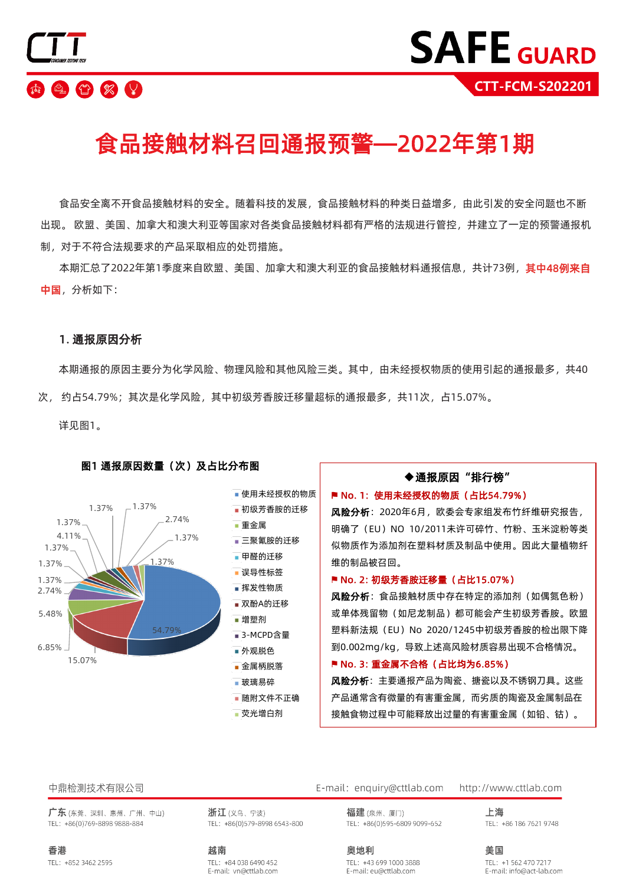

# 食品接触材料召回通报预警—2022年第1期

食品安全离不开食品接触材料的安全。随着科技的发展,食品接触材料的种类日益增多,由此引发的安全问题也不断 出现。 欧盟、美国、加拿大和澳大利亚等国家对各类食品接触材料都有严格的法规进行管控,并建立了一定的预警通报机 制,对于不符合法规要求的产品采取相应的处罚措施。

本期汇总了2022年第1季度来自欧盟、美国、加拿大和澳大利亚的食品接触材料通报信息,共计73例,**其中48例来自** 中国,分析如下:

#### 1. 通报原因分析

本期通报的原因主要分为化学风险、物理风险和其他风险三类。其中,由未经授权物质的使用引起的通报最多,共40 次, 约占54.79%;其次是化学风险,其中初级芳香胺迁移量超标的通报最多,共11次,占15.07%。

详见图1。



#### 图1 通报原因数量(次)及占比分布图

荧光增白剂

### ◆通报原因"排行榜"

#### ■ No. 1: 使用未经授权的物质 (占比54.79%)

风险分析: 2020年6月, 欧委会专家组发布竹纤维研究报告, 明确了 (EU) NO 10/2011未许可碎竹、竹粉、玉米淀粉等类 似物质作为添加剂在塑料材质及制品中使用。因此大量植物纤 维的制品被召回。

#### ■ No. 2: 初级芳香胺迁移量 (占比15.07%)

风险分析: 食品接触材质中存在特定的添加剂 (如偶氮色粉) 或单体残留物(如尼龙制品)都可能会产生初级芳香胺。欧盟 塑料新法规 (EU) No 2020/1245中初级芳香胺的检出限下降 到0.002mg/kg,导致上述高风险材质容易出现不合格情况。

#### ■ No. 3: 重金属不合格 (占比均为6.85%)

风险分析: 主要通报产品为陶瓷、搪瓷以及不锈钢刀具。这些 产品通常含有微量的有害重金属,而劣质的陶瓷及金属制品在 接触食物过程中可能释放出过量的有害重金属(如铅、钴)。

#### 中鼎检测技术有限公司

广东(东莞、深圳、惠州、广州、中山) TEL: +86(0)769-8898 9888-884

香港 TEL: +852 3462 2595 浙江(义乌、宁波) TEL: +86(0)579-8998 6543-800

越南

TEL: +84 038 6490 452 E-mail: vn@cttlab.com E-mail: enquiry@cttlab.com http://www.cttlab.com

> 福建(泉州、厦门) TEL: +86(0)595-6809 9099-652

奥地利

上海 TEL: +86 186 7621 9748

TEL: +43 699 1000 3888 E-mail: eu@cttlab.com

美国 TEL: +1 562 470 7217 E-mail: info@act-lab.com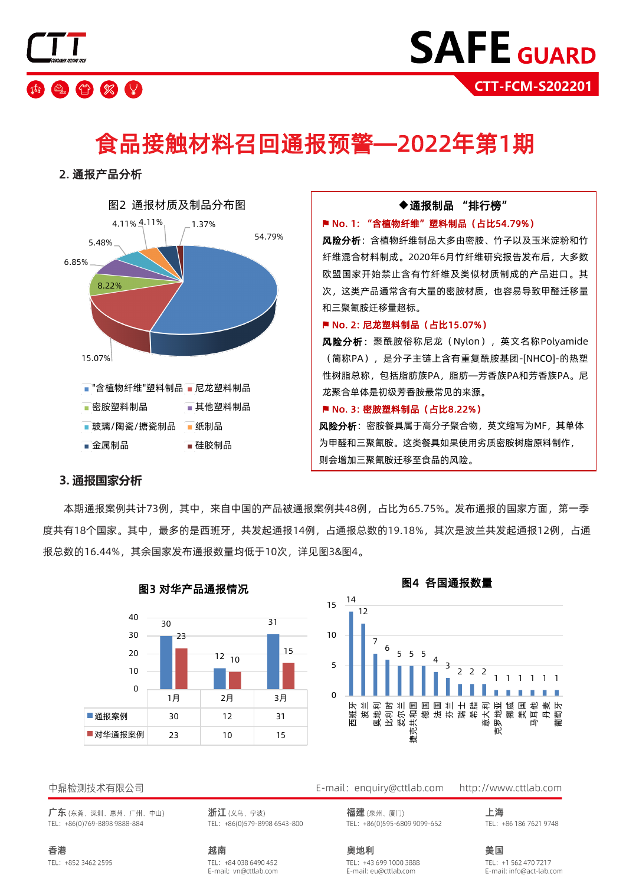

# 食品接触材料召回通报预警—2022年第1期

2. 通报产品分析



#### **3. 通报国家分析**

本期通报案例共计73例,其中,来自中国的产品被通报案例共48例,占比为65.75%。发布通报的国家方面,第一季 度共有18个国家。其中,最多的是西班牙,共发起通报14例,占通报总数的19.18%,其次是波兰共发起通报12例,占通 报总数的16.44%,其余国家发布通报数量均低于10次,详见图3&图4。



#### 图3 对华产品通报情况



中鼎检测技术有限公司

广东(东莞、深圳、惠州、广州、中山) TEL: +86(0)769-8898 9888-884

香港 TEL: +852 3462 2595 浙江(义乌、宁波) TEL: +86(0)579-8998 6543-800

TEL: +84 038 6490 452

E-mail: vn@cttlab.com

越南

E-mail: enquiry@cttlab.com

福建(泉州、厦门) TEL: +86(0)595-6809 9099-652 http://www.cttlab.com 上海

TEL: +86 186 7621 9748

奥地利 TEL: +43 699 1000 3888 E-mail: eu@cttlab.com

美国 TEL: +1 562 470 7217 E-mail: info@act-lab.com